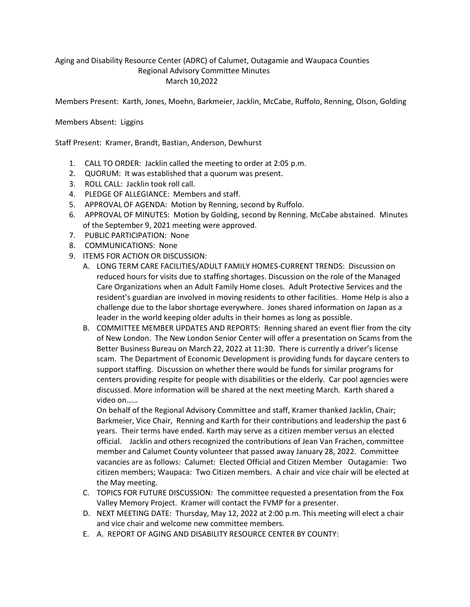## Aging and Disability Resource Center (ADRC) of Calumet, Outagamie and Waupaca Counties Regional Advisory Committee Minutes March 10,2022

Members Present: Karth, Jones, Moehn, Barkmeier, Jacklin, McCabe, Ruffolo, Renning, Olson, Golding

## Members Absent: Liggins

Staff Present: Kramer, Brandt, Bastian, Anderson, Dewhurst

- 1. CALL TO ORDER: Jacklin called the meeting to order at 2:05 p.m.
- 2. QUORUM: It was established that a quorum was present.
- 3. ROLL CALL: Jacklin took roll call.
- 4. PLEDGE OF ALLEGIANCE: Members and staff.
- 5. APPROVAL OF AGENDA: Motion by Renning, second by Ruffolo.
- 6. APPROVAL OF MINUTES: Motion by Golding, second by Renning. McCabe abstained. Minutes of the September 9, 2021 meeting were approved.
- 7. PUBLIC PARTICIPATION: None
- 8. COMMUNICATIONS: None
- 9. ITEMS FOR ACTION OR DISCUSSION:
	- A. LONG TERM CARE FACILITIES/ADULT FAMILY HOMES-CURRENT TRENDS: Discussion on reduced hours for visits due to staffing shortages. Discussion on the role of the Managed Care Organizations when an Adult Family Home closes. Adult Protective Services and the resident's guardian are involved in moving residents to other facilities. Home Help is also a challenge due to the labor shortage everywhere. Jones shared information on Japan as a leader in the world keeping older adults in their homes as long as possible.
	- B. COMMITTEE MEMBER UPDATES AND REPORTS: Renning shared an event flier from the city of New London. The New London Senior Center will offer a presentation on Scams from the Better Business Bureau on March 22, 2022 at 11:30. There is currently a driver's license scam. The Department of Economic Development is providing funds for daycare centers to support staffing. Discussion on whether there would be funds for similar programs for centers providing respite for people with disabilities or the elderly. Car pool agencies were discussed. More information will be shared at the next meeting March. Karth shared a video on……

On behalf of the Regional Advisory Committee and staff, Kramer thanked Jacklin, Chair; Barkmeier, Vice Chair, Renning and Karth for their contributions and leadership the past 6 years. Their terms have ended. Karth may serve as a citizen member versus an elected official. Jacklin and others recognized the contributions of Jean Van Frachen, committee member and Calumet County volunteer that passed away January 28, 2022. Committee vacancies are as follows: Calumet: Elected Official and Citizen Member Outagamie: Two citizen members; Waupaca: Two Citizen members. A chair and vice chair will be elected at the May meeting.

- C. TOPICS FOR FUTURE DISCUSSION: The committee requested a presentation from the Fox Valley Memory Project. Kramer will contact the FVMP for a presenter.
- D. NEXT MEETING DATE: Thursday, May 12, 2022 at 2:00 p.m. This meeting will elect a chair and vice chair and welcome new committee members.
- E. A. REPORT OF AGING AND DISABILITY RESOURCE CENTER BY COUNTY: